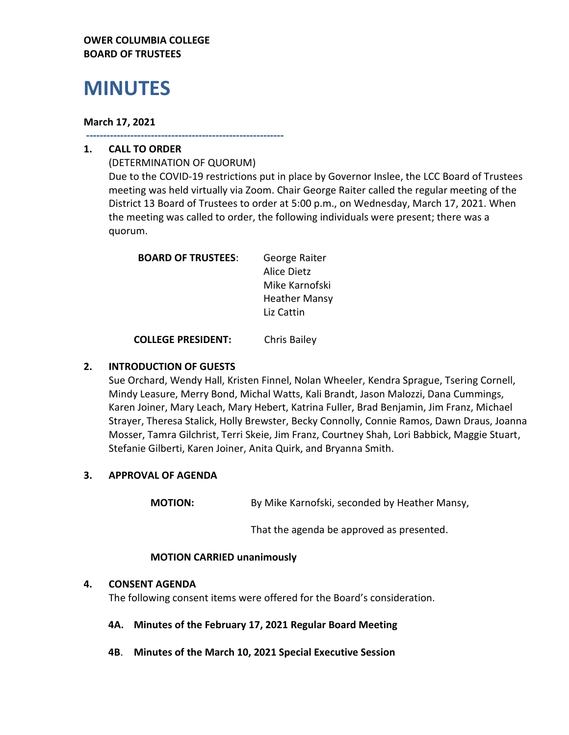# **OWER COLUMBIA COLLEGE BOARD OF TRUSTEES**

# **MINUTES**

## **March 17, 2021**

**----------------------------------------------------------**

# **1. CALL TO ORDER**

(DETERMINATION OF QUORUM) Due to the COVID-19 restrictions put in place by Governor Inslee, the LCC Board of Trustees meeting was held virtually via Zoom. Chair George Raiter called the regular meeting of the District 13 Board of Trustees to order at 5:00 p.m., on Wednesday, March 17, 2021. When the meeting was called to order, the following individuals were present; there was a quorum.

| <b>BOARD OF TRUSTEES:</b> | George Raiter        |
|---------------------------|----------------------|
|                           | Alice Dietz          |
|                           | Mike Karnofski       |
|                           | <b>Heather Mansy</b> |
|                           | Liz Cattin           |
|                           |                      |

**COLLEGE PRESIDENT:** Chris Bailey

# **2. INTRODUCTION OF GUESTS**

Sue Orchard, Wendy Hall, Kristen Finnel, Nolan Wheeler, Kendra Sprague, Tsering Cornell, Mindy Leasure, Merry Bond, Michal Watts, Kali Brandt, Jason Malozzi, Dana Cummings, Karen Joiner, Mary Leach, Mary Hebert, Katrina Fuller, Brad Benjamin, Jim Franz, Michael Strayer, Theresa Stalick, Holly Brewster, Becky Connolly, Connie Ramos, Dawn Draus, Joanna Mosser, Tamra Gilchrist, Terri Skeie, Jim Franz, Courtney Shah, Lori Babbick, Maggie Stuart, Stefanie Gilberti, Karen Joiner, Anita Quirk, and Bryanna Smith.

# **3. APPROVAL OF AGENDA**

**MOTION:** By Mike Karnofski, seconded by Heather Mansy,

That the agenda be approved as presented.

## **MOTION CARRIED unanimously**

## **4. CONSENT AGENDA**

The following consent items were offered for the Board's consideration.

## **4A. Minutes of the February 17, 2021 Regular Board Meeting**

**4B**. **Minutes of the March 10, 2021 Special Executive Session**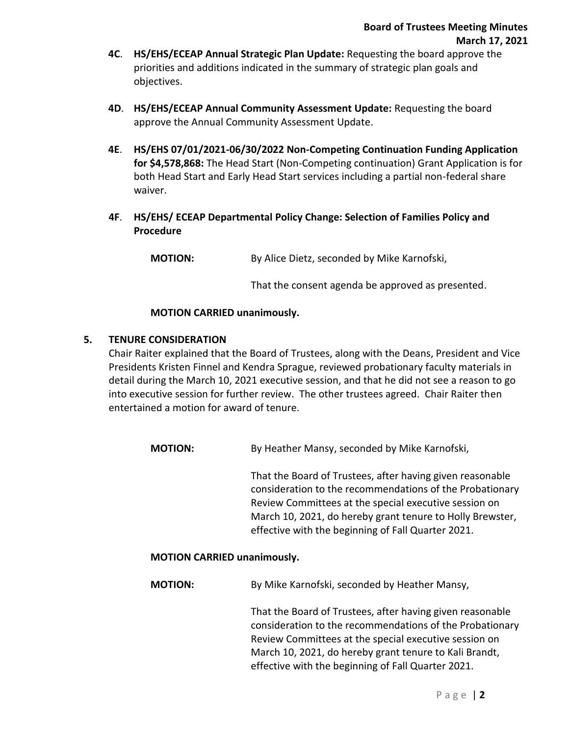- **4C**. **HS/EHS/ECEAP Annual Strategic Plan Update:** Requesting the board approve the priorities and additions indicated in the summary of strategic plan goals and objectives.
- **4D**. **HS/EHS/ECEAP Annual Community Assessment Update:** Requesting the board approve the Annual Community Assessment Update.
- **4E**. **HS/EHS 07/01/2021-06/30/2022 Non-Competing Continuation Funding Application for \$4,578,868:** The Head Start (Non-Competing continuation) Grant Application is for both Head Start and Early Head Start services including a partial non-federal share waiver.
- **4F**. **HS/EHS/ ECEAP Departmental Policy Change: Selection of Families Policy and Procedure**

**MOTION:** By Alice Dietz, seconded by Mike Karnofski,

That the consent agenda be approved as presented.

## **MOTION CARRIED unanimously.**

## **5. TENURE CONSIDERATION**

Chair Raiter explained that the Board of Trustees, along with the Deans, President and Vice Presidents Kristen Finnel and Kendra Sprague, reviewed probationary faculty materials in detail during the March 10, 2021 executive session, and that he did not see a reason to go into executive session for further review. The other trustees agreed. Chair Raiter then entertained a motion for award of tenure.

**MOTION:** By Heather Mansy, seconded by Mike Karnofski,

That the Board of Trustees, after having given reasonable consideration to the recommendations of the Probationary Review Committees at the special executive session on March 10, 2021, do hereby grant tenure to Holly Brewster, effective with the beginning of Fall Quarter 2021.

## **MOTION CARRIED unanimously.**

**MOTION:** By Mike Karnofski, seconded by Heather Mansy,

That the Board of Trustees, after having given reasonable consideration to the recommendations of the Probationary Review Committees at the special executive session on March 10, 2021, do hereby grant tenure to Kali Brandt, effective with the beginning of Fall Quarter 2021.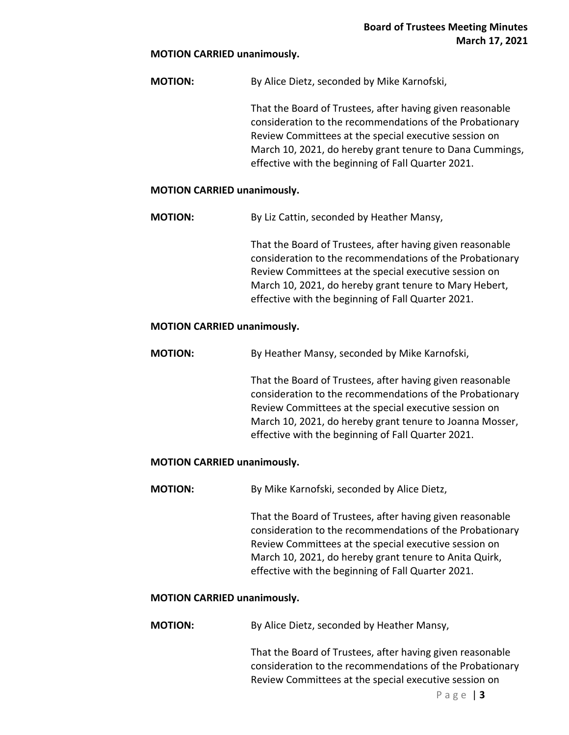#### **MOTION CARRIED unanimously.**

**MOTION:** By Alice Dietz, seconded by Mike Karnofski,

That the Board of Trustees, after having given reasonable consideration to the recommendations of the Probationary Review Committees at the special executive session on March 10, 2021, do hereby grant tenure to Dana Cummings, effective with the beginning of Fall Quarter 2021.

#### **MOTION CARRIED unanimously.**

**MOTION:** By Liz Cattin, seconded by Heather Mansy,

That the Board of Trustees, after having given reasonable consideration to the recommendations of the Probationary Review Committees at the special executive session on March 10, 2021, do hereby grant tenure to Mary Hebert, effective with the beginning of Fall Quarter 2021.

#### **MOTION CARRIED unanimously.**

**MOTION:** By Heather Mansy, seconded by Mike Karnofski,

That the Board of Trustees, after having given reasonable consideration to the recommendations of the Probationary Review Committees at the special executive session on March 10, 2021, do hereby grant tenure to Joanna Mosser, effective with the beginning of Fall Quarter 2021.

## **MOTION CARRIED unanimously.**

**MOTION:** By Mike Karnofski, seconded by Alice Dietz,

That the Board of Trustees, after having given reasonable consideration to the recommendations of the Probationary Review Committees at the special executive session on March 10, 2021, do hereby grant tenure to Anita Quirk, effective with the beginning of Fall Quarter 2021.

#### **MOTION CARRIED unanimously.**

**MOTION:** By Alice Dietz, seconded by Heather Mansy,

That the Board of Trustees, after having given reasonable consideration to the recommendations of the Probationary Review Committees at the special executive session on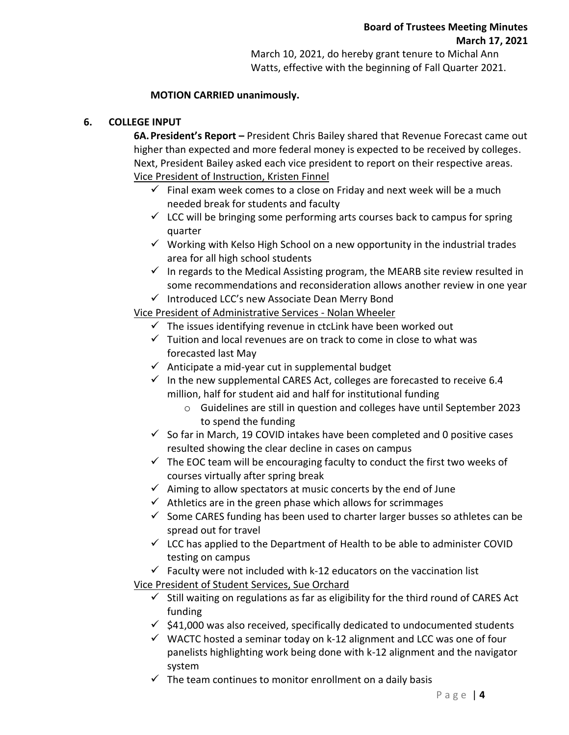March 10, 2021, do hereby grant tenure to Michal Ann Watts, effective with the beginning of Fall Quarter 2021.

# **MOTION CARRIED unanimously.**

# **6. COLLEGE INPUT**

**6A.President's Report –** President Chris Bailey shared that Revenue Forecast came out higher than expected and more federal money is expected to be received by colleges. Next, President Bailey asked each vice president to report on their respective areas. Vice President of Instruction, Kristen Finnel

- $\checkmark$  Final exam week comes to a close on Friday and next week will be a much needed break for students and faculty
- $\checkmark$  LCC will be bringing some performing arts courses back to campus for spring quarter
- $\checkmark$  Working with Kelso High School on a new opportunity in the industrial trades area for all high school students
- $\checkmark$  In regards to the Medical Assisting program, the MEARB site review resulted in some recommendations and reconsideration allows another review in one year
- ✓ Introduced LCC's new Associate Dean Merry Bond

Vice President of Administrative Services - Nolan Wheeler

- $\checkmark$  The issues identifying revenue in ctcLink have been worked out
- $\checkmark$  Tuition and local revenues are on track to come in close to what was forecasted last May
- $\checkmark$  Anticipate a mid-year cut in supplemental budget
- $\checkmark$  In the new supplemental CARES Act, colleges are forecasted to receive 6.4 million, half for student aid and half for institutional funding
	- o Guidelines are still in question and colleges have until September 2023 to spend the funding
- $\checkmark$  So far in March, 19 COVID intakes have been completed and 0 positive cases resulted showing the clear decline in cases on campus
- $\checkmark$  The EOC team will be encouraging faculty to conduct the first two weeks of courses virtually after spring break
- $\checkmark$  Aiming to allow spectators at music concerts by the end of June
- $\checkmark$  Athletics are in the green phase which allows for scrimmages
- $\checkmark$  Some CARES funding has been used to charter larger busses so athletes can be spread out for travel
- $\checkmark$  LCC has applied to the Department of Health to be able to administer COVID testing on campus
- $\checkmark$  Faculty were not included with k-12 educators on the vaccination list

Vice President of Student Services, Sue Orchard

- $\checkmark$  Still waiting on regulations as far as eligibility for the third round of CARES Act funding
- $\checkmark$  \$41,000 was also received, specifically dedicated to undocumented students
- $\checkmark$  WACTC hosted a seminar today on k-12 alignment and LCC was one of four panelists highlighting work being done with k-12 alignment and the navigator system
- $\checkmark$  The team continues to monitor enrollment on a daily basis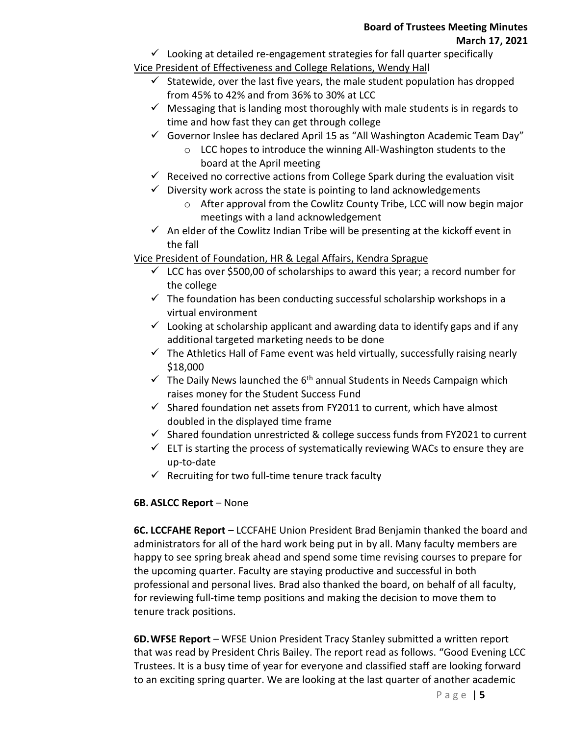$\checkmark$  Looking at detailed re-engagement strategies for fall quarter specifically

# Vice President of Effectiveness and College Relations, Wendy Hall

- $\checkmark$  Statewide, over the last five years, the male student population has dropped from 45% to 42% and from 36% to 30% at LCC
- $\checkmark$  Messaging that is landing most thoroughly with male students is in regards to time and how fast they can get through college
- $\checkmark$  Governor Inslee has declared April 15 as "All Washington Academic Team Day"
	- o LCC hopes to introduce the winning All-Washington students to the board at the April meeting
- $\checkmark$  Received no corrective actions from College Spark during the evaluation visit
- $\checkmark$  Diversity work across the state is pointing to land acknowledgements
	- o After approval from the Cowlitz County Tribe, LCC will now begin major meetings with a land acknowledgement
- $\checkmark$  An elder of the Cowlitz Indian Tribe will be presenting at the kickoff event in the fall

Vice President of Foundation, HR & Legal Affairs, Kendra Sprague

- $\checkmark$  LCC has over \$500,00 of scholarships to award this year; a record number for the college
- $\checkmark$  The foundation has been conducting successful scholarship workshops in a virtual environment
- $\checkmark$  Looking at scholarship applicant and awarding data to identify gaps and if any additional targeted marketing needs to be done
- $\checkmark$  The Athletics Hall of Fame event was held virtually, successfully raising nearly \$18,000
- $\checkmark$  The Daily News launched the 6<sup>th</sup> annual Students in Needs Campaign which raises money for the Student Success Fund
- $\checkmark$  Shared foundation net assets from FY2011 to current, which have almost doubled in the displayed time frame
- $\checkmark$  Shared foundation unrestricted & college success funds from FY2021 to current
- $\checkmark$  ELT is starting the process of systematically reviewing WACs to ensure they are up-to-date
- $\checkmark$  Recruiting for two full-time tenure track faculty

# **6B. ASLCC Report** – None

**6C. LCCFAHE Report** – LCCFAHE Union President Brad Benjamin thanked the board and administrators for all of the hard work being put in by all. Many faculty members are happy to see spring break ahead and spend some time revising courses to prepare for the upcoming quarter. Faculty are staying productive and successful in both professional and personal lives. Brad also thanked the board, on behalf of all faculty, for reviewing full-time temp positions and making the decision to move them to tenure track positions.

**6D.WFSE Report** – WFSE Union President Tracy Stanley submitted a written report that was read by President Chris Bailey. The report read as follows. "Good Evening LCC Trustees. It is a busy time of year for everyone and classified staff are looking forward to an exciting spring quarter. We are looking at the last quarter of another academic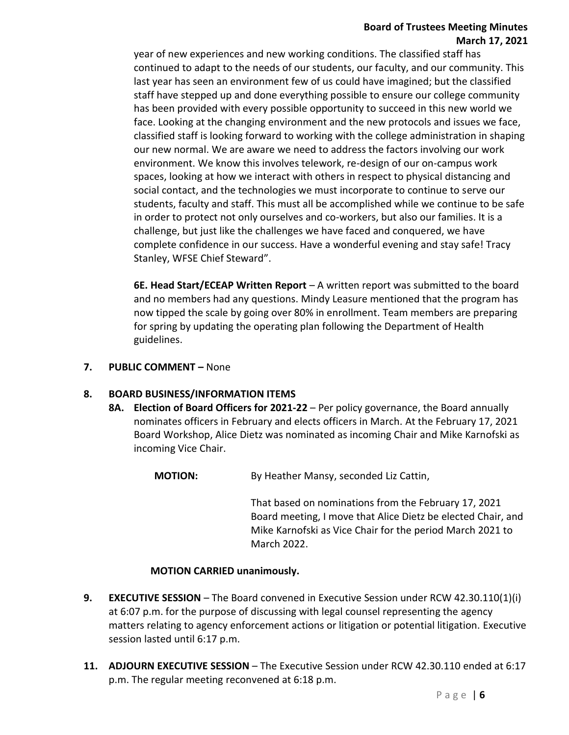# **Board of Trustees Meeting Minutes March 17, 2021**

year of new experiences and new working conditions. The classified staff has continued to adapt to the needs of our students, our faculty, and our community. This last year has seen an environment few of us could have imagined; but the classified staff have stepped up and done everything possible to ensure our college community has been provided with every possible opportunity to succeed in this new world we face. Looking at the changing environment and the new protocols and issues we face, classified staff is looking forward to working with the college administration in shaping our new normal. We are aware we need to address the factors involving our work environment. We know this involves telework, re-design of our on-campus work spaces, looking at how we interact with others in respect to physical distancing and social contact, and the technologies we must incorporate to continue to serve our students, faculty and staff. This must all be accomplished while we continue to be safe in order to protect not only ourselves and co-workers, but also our families. It is a challenge, but just like the challenges we have faced and conquered, we have complete confidence in our success. Have a wonderful evening and stay safe! Tracy Stanley, WFSE Chief Steward".

**6E. Head Start/ECEAP Written Report** – A written report was submitted to the board and no members had any questions. Mindy Leasure mentioned that the program has now tipped the scale by going over 80% in enrollment. Team members are preparing for spring by updating the operating plan following the Department of Health guidelines.

# **7. PUBLIC COMMENT –** None

# **8. BOARD BUSINESS/INFORMATION ITEMS**

**8A. Election of Board Officers for 2021-22** – Per policy governance, the Board annually nominates officers in February and elects officers in March. At the February 17, 2021 Board Workshop, Alice Dietz was nominated as incoming Chair and Mike Karnofski as incoming Vice Chair.

**MOTION:** By Heather Mansy, seconded Liz Cattin,

That based on nominations from the February 17, 2021 Board meeting, I move that Alice Dietz be elected Chair, and Mike Karnofski as Vice Chair for the period March 2021 to March 2022.

## **MOTION CARRIED unanimously.**

- **9. EXECUTIVE SESSION** The Board convened in Executive Session under RCW 42.30.110(1)(i) at 6:07 p.m. for the purpose of discussing with legal counsel representing the agency matters relating to agency enforcement actions or litigation or potential litigation. Executive session lasted until 6:17 p.m.
- **11. ADJOURN EXECUTIVE SESSION** The Executive Session under RCW 42.30.110 ended at 6:17 p.m. The regular meeting reconvened at 6:18 p.m.